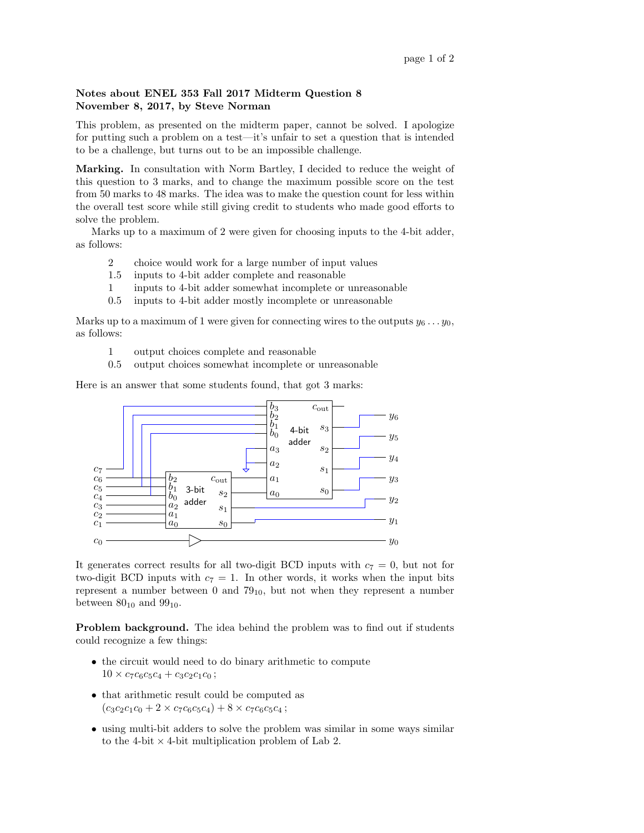## Notes about ENEL 353 Fall 2017 Midterm Question 8 November 8, 2017, by Steve Norman

This problem, as presented on the midterm paper, cannot be solved. I apologize for putting such a problem on a test—it's unfair to set a question that is intended to be a challenge, but turns out to be an impossible challenge.

Marking. In consultation with Norm Bartley, I decided to reduce the weight of this question to 3 marks, and to change the maximum possible score on the test from 50 marks to 48 marks. The idea was to make the question count for less within the overall test score while still giving credit to students who made good efforts to solve the problem.

Marks up to a maximum of 2 were given for choosing inputs to the 4-bit adder, as follows:

- 2 choice would work for a large number of input values
- 1.5 inputs to 4-bit adder complete and reasonable
- 1 inputs to 4-bit adder somewhat incomplete or unreasonable
- 0.5 inputs to 4-bit adder mostly incomplete or unreasonable

Marks up to a maximum of 1 were given for connecting wires to the outputs  $y_6 \ldots y_0$ , as follows:

- 1 output choices complete and reasonable
- 0.5 output choices somewhat incomplete or unreasonable

Here is an answer that some students found, that got 3 marks:



It generates correct results for all two-digit BCD inputs with  $c_7 = 0$ , but not for two-digit BCD inputs with  $c_7 = 1$ . In other words, it works when the input bits represent a number between 0 and  $79<sub>10</sub>$ , but not when they represent a number between  $80_{10}$  and  $99_{10}$ .

Problem background. The idea behind the problem was to find out if students could recognize a few things:

- the circuit would need to do binary arithmetic to compute  $10 \times c_7c_6c_5c_4 + c_3c_2c_1c_0$ ;
- that arithmetic result could be computed as  $(c_3c_2c_1c_0 + 2 \times c_7c_6c_5c_4) + 8 \times c_7c_6c_5c_4$ ;
- using multi-bit adders to solve the problem was similar in some ways similar to the 4-bit  $\times$  4-bit multiplication problem of Lab 2.